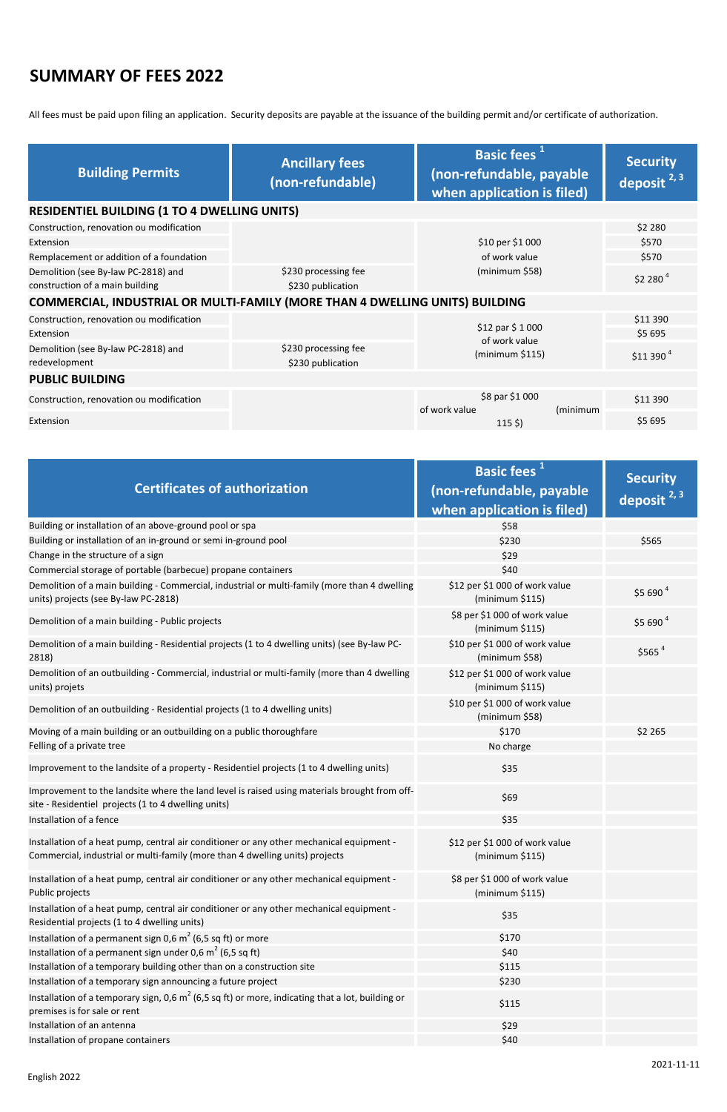English 2022

2021-11-11

## **SUMMARY OF FEES 2022**

All fees must be paid upon filing an application. Security deposits are payable at the issuance of the building permit and/or certificate of authorization.

| <b>Building Permits</b>                                                      | <b>Ancillary fees</b><br>(non-refundable) | Basic fees <sup>1</sup><br>(non-refundable, payable<br>when application is filed) | <b>Security</b><br>deposit <sup>2, 3</sup> |  |
|------------------------------------------------------------------------------|-------------------------------------------|-----------------------------------------------------------------------------------|--------------------------------------------|--|
| <b>RESIDENTIEL BUILDING (1 TO 4 DWELLING UNITS)</b>                          |                                           |                                                                                   |                                            |  |
| Construction, renovation ou modification                                     |                                           |                                                                                   | \$2 280                                    |  |
| Extension                                                                    |                                           | \$10 per \$1 000                                                                  | \$570                                      |  |
| Remplacement or addition of a foundation                                     |                                           | of work value                                                                     | \$570                                      |  |
| Demolition (see By-law PC-2818) and<br>construction of a main building       | \$230 processing fee<br>\$230 publication | (minimum \$58)                                                                    | $$2280$ <sup>4</sup>                       |  |
| COMMERCIAL, INDUSTRIAL OR MULTI-FAMILY (MORE THAN 4 DWELLING UNITS) BUILDING |                                           |                                                                                   |                                            |  |
| Construction, renovation ou modification                                     |                                           |                                                                                   | \$11 390                                   |  |
| Extension                                                                    |                                           | \$12 par \$1000<br>of work value                                                  | \$5 695                                    |  |
| Demolition (see By-law PC-2818) and<br>redevelopment                         | \$230 processing fee<br>\$230 publication | (minimum \$115)                                                                   | \$11390 <sup>4</sup>                       |  |
| <b>PUBLIC BUILDING</b>                                                       |                                           |                                                                                   |                                            |  |
| Construction, renovation ou modification                                     |                                           | \$8 par \$1 000<br>of work value                                                  | \$11 390<br>(minimum                       |  |
| Extension                                                                    |                                           | $115$ \$)                                                                         | \$5695                                     |  |

| <b>Certificates of authorization</b>                                                                                                                                     | Basic fees <sup>1</sup><br>(non-refundable, payable | <b>Security</b>         |
|--------------------------------------------------------------------------------------------------------------------------------------------------------------------------|-----------------------------------------------------|-------------------------|
|                                                                                                                                                                          | when application is filed)                          | deposit <sup>2, 3</sup> |
| Building or installation of an above-ground pool or spa                                                                                                                  | \$58                                                |                         |
| Building or installation of an in-ground or semi in-ground pool                                                                                                          | \$230                                               | \$565                   |
| Change in the structure of a sign                                                                                                                                        | \$29                                                |                         |
| Commercial storage of portable (barbecue) propane containers                                                                                                             | \$40                                                |                         |
| Demolition of a main building - Commercial, industrial or multi-family (more than 4 dwelling<br>units) projects (see By-law PC-2818)                                     | \$12 per \$1 000 of work value<br>(minimum \$115)   | \$5690 <sup>4</sup>     |
| Demolition of a main building - Public projects                                                                                                                          | \$8 per \$1 000 of work value<br>(minimum \$115)    | \$5690 <sup>4</sup>     |
| Demolition of a main building - Residential projects (1 to 4 dwelling units) (see By-law PC-<br>2818)                                                                    | \$10 per \$1 000 of work value<br>(minimum \$58)    | $$565$ <sup>4</sup>     |
| Demolition of an outbuilding - Commercial, industrial or multi-family (more than 4 dwelling<br>units) projets                                                            | \$12 per \$1 000 of work value<br>(minimum \$115)   |                         |
| Demolition of an outbuilding - Residential projects (1 to 4 dwelling units)                                                                                              | \$10 per \$1 000 of work value<br>(minimum \$58)    |                         |
| Moving of a main building or an outbuilding on a public thoroughfare                                                                                                     | \$170                                               | \$2 265                 |
| Felling of a private tree                                                                                                                                                | No charge                                           |                         |
| Improvement to the landsite of a property - Residentiel projects (1 to 4 dwelling units)                                                                                 | \$35                                                |                         |
| Improvement to the landsite where the land level is raised using materials brought from off-<br>site - Residentiel projects (1 to 4 dwelling units)                      | \$69                                                |                         |
| Installation of a fence                                                                                                                                                  | \$35                                                |                         |
| Installation of a heat pump, central air conditioner or any other mechanical equipment -<br>Commercial, industrial or multi-family (more than 4 dwelling units) projects | \$12 per \$1 000 of work value<br>(minimum \$115)   |                         |
| Installation of a heat pump, central air conditioner or any other mechanical equipment -<br>Public projects                                                              | \$8 per \$1 000 of work value<br>(minimum \$115)    |                         |
| Installation of a heat pump, central air conditioner or any other mechanical equipment -<br>Residential projects (1 to 4 dwelling units)                                 | \$35                                                |                         |
| Installation of a permanent sign 0,6 $m2$ (6,5 sq ft) or more                                                                                                            | \$170                                               |                         |
| Installation of a permanent sign under 0,6 $m^2$ (6,5 sq ft)                                                                                                             | \$40                                                |                         |
| Installation of a temporary building other than on a construction site                                                                                                   | \$115                                               |                         |
| Installation of a temporary sign announcing a future project                                                                                                             | \$230                                               |                         |
| Installation of a temporary sign, 0,6 $m^2$ (6,5 sq ft) or more, indicating that a lot, building or<br>premises is for sale or rent                                      | \$115                                               |                         |
| Installation of an antenna                                                                                                                                               | \$29                                                |                         |
| Installation of propane containers                                                                                                                                       | \$40                                                |                         |